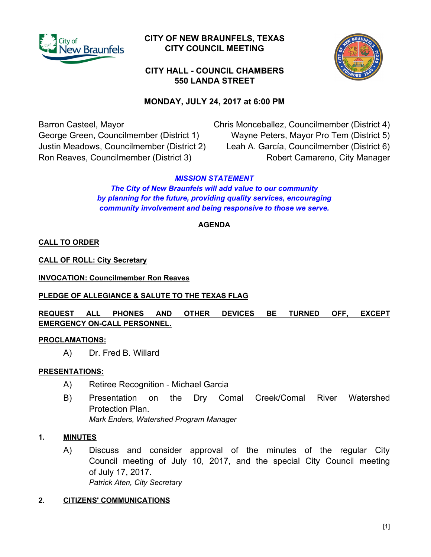

# **CITY OF NEW BRAUNFELS, TEXAS CITY COUNCIL MEETING**



# **550 LANDA STREET CITY HALL - COUNCIL CHAMBERS**

# **MONDAY, JULY 24, 2017 at 6:00 PM**

Barron Casteel, Mayor George Green, Councilmember (District 1) Justin Meadows, Councilmember (District 2) Ron Reaves, Councilmember (District 3)

Chris Monceballez, Councilmember (District 4) Wayne Peters, Mayor Pro Tem (District 5) Leah A. García, Councilmember (District 6) Robert Camareno, City Manager

## *MISSION STATEMENT*

*The City of New Braunfels will add value to our community by planning for the future, providing quality services, encouraging community involvement and being responsive to those we serve.*

## **AGENDA**

**CALL TO ORDER**

**CALL OF ROLL: City Secretary**

**INVOCATION: Councilmember Ron Reaves**

## **PLEDGE OF ALLEGIANCE & SALUTE TO THE TEXAS FLAG**

**REQUEST ALL PHONES AND OTHER DEVICES BE TURNED OFF, EXCEPT EMERGENCY ON-CALL PERSONNEL.**

## **PROCLAMATIONS:**

A) Dr. Fred B. Willard

## **PRESENTATIONS:**

- A) Retiree Recognition Michael Garcia
- B) Presentation on the Dry Comal Creek/Comal River Watershed Protection Plan.

*Mark Enders, Watershed Program Manager*

## **1. MINUTES**

A) Discuss and consider approval of the minutes of the regular City Council meeting of July 10, 2017, and the special City Council meeting of July 17, 2017. *Patrick Aten, City Secretary*

## **2. CITIZENS' COMMUNICATIONS**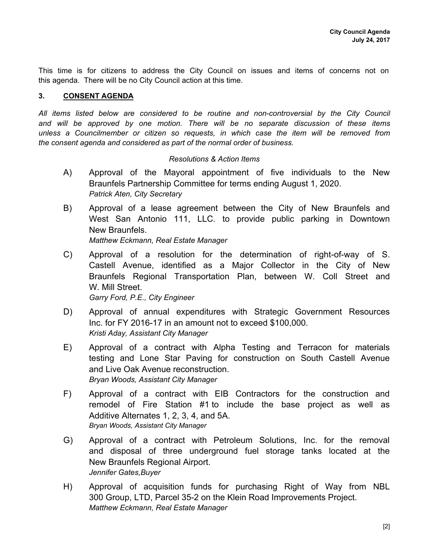This time is for citizens to address the City Council on issues and items of concerns not on this agenda. There will be no City Council action at this time.

#### **3. CONSENT AGENDA**

*All items listed below are considered to be routine and non-controversial by the City Council and will be approved by one motion. There will be no separate discussion of these items unless a Councilmember or citizen so requests, in which case the item will be removed from the consent agenda and considered as part of the normal order of business.*

#### *Resolutions & Action Items*

- A) Approval of the Mayoral appointment of five individuals to the New Braunfels Partnership Committee for terms ending August 1, 2020. *Patrick Aten, City Secretary*
- B) Approval of a lease agreement between the City of New Braunfels and West San Antonio 111, LLC. to provide public parking in Downtown New Braunfels. *Matthew Eckmann, Real Estate Manager*
- C) Approval of a resolution for the determination of right-of-way of S. Castell Avenue, identified as a Major Collector in the City of New Braunfels Regional Transportation Plan, between W. Coll Street and W. Mill Street.

*Garry Ford, P.E., City Engineer*

- D) Approval of annual expenditures with Strategic Government Resources Inc. for FY 2016-17 in an amount not to exceed \$100,000. *Kristi Aday, Assistant City Manager*
- E) Approval of a contract with Alpha Testing and Terracon for materials testing and Lone Star Paving for construction on South Castell Avenue and Live Oak Avenue reconstruction. *Bryan Woods, Assistant City Manager*
- F) Approval of a contract with EIB Contractors for the construction and remodel of Fire Station #1 to include the base project as well as Additive Alternates 1, 2, 3, 4, and 5A. *Bryan Woods, Assistant City Manager*
- G) Approval of a contract with Petroleum Solutions, Inc. for the removal and disposal of three underground fuel storage tanks located at the New Braunfels Regional Airport. *Jennifer Gates,Buyer*
- H) Approval of acquisition funds for purchasing Right of Way from NBL 300 Group, LTD, Parcel 35-2 on the Klein Road Improvements Project. *Matthew Eckmann, Real Estate Manager*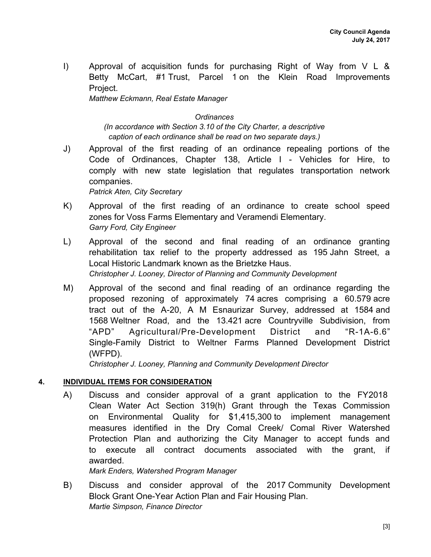I) Approval of acquisition funds for purchasing Right of Way from V L & Betty McCart, #1 Trust, Parcel 1 on the Klein Road Improvements Project.

*Matthew Eckmann, Real Estate Manager*

#### *Ordinances*

*(In accordance with Section 3.10 of the City Charter, a descriptive caption of each ordinance shall be read on two separate days.)*

J) Approval of the first reading of an ordinance repealing portions of the Code of Ordinances, Chapter 138, Article I - Vehicles for Hire, to comply with new state legislation that regulates transportation network companies.

*Patrick Aten, City Secretary*

- K) Approval of the first reading of an ordinance to create school speed zones for Voss Farms Elementary and Veramendi Elementary. *Garry Ford, City Engineer*
- L) Approval of the second and final reading of an ordinance granting rehabilitation tax relief to the property addressed as 195 Jahn Street, a Local Historic Landmark known as the Brietzke Haus. *Christopher J. Looney, Director of Planning and Community Development*
- M) Approval of the second and final reading of an ordinance regarding the proposed rezoning of approximately 74 acres comprising a 60.579 acre tract out of the A-20, A M Esnaurizar Survey, addressed at 1584 and 1568 Weltner Road, and the 13.421 acre Countryville Subdivision, from "APD" Agricultural/Pre-Development District and "R-1A-6.6" Single-Family District to Weltner Farms Planned Development District (WFPD).

*Christopher J. Looney, Planning and Community Development Director*

## **4. INDIVIDUAL ITEMS FOR CONSIDERATION**

A) Discuss and consider approval of a grant application to the FY2018 Clean Water Act Section 319(h) Grant through the Texas Commission on Environmental Quality for \$1,415,300 to implement management measures identified in the Dry Comal Creek/ Comal River Watershed Protection Plan and authorizing the City Manager to accept funds and to execute all contract documents associated with the grant, if awarded.

*Mark Enders, Watershed Program Manager*

B) Discuss and consider approval of the 2017 Community Development Block Grant One-Year Action Plan and Fair Housing Plan. *Martie Simpson, Finance Director*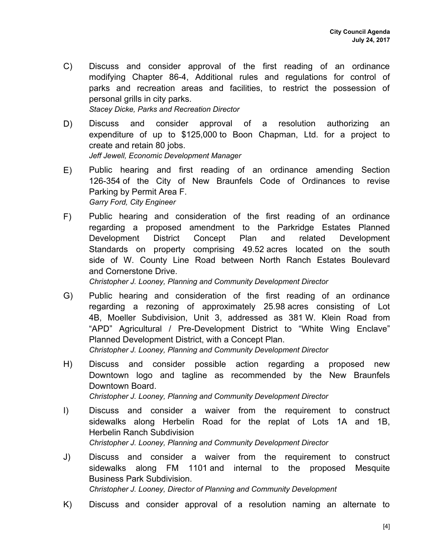- C) Discuss and consider approval of the first reading of an ordinance modifying Chapter 86-4, Additional rules and regulations for control of parks and recreation areas and facilities, to restrict the possession of personal grills in city parks. *Stacey Dicke, Parks and Recreation Director*
- D) Discuss and consider approval of a resolution authorizing an expenditure of up to \$125,000 to Boon Chapman, Ltd. for a project to create and retain 80 jobs. *Jeff Jewell, Economic Development Manager*
- E) Public hearing and first reading of an ordinance amending Section 126-354 of the City of New Braunfels Code of Ordinances to revise Parking by Permit Area F. *Garry Ford, City Engineer*
- F) Public hearing and consideration of the first reading of an ordinance regarding a proposed amendment to the Parkridge Estates Planned Development District Concept Plan and related Development Standards on property comprising 49.52 acres located on the south side of W. County Line Road between North Ranch Estates Boulevard and Cornerstone Drive.

*Christopher J. Looney, Planning and Community Development Director*

- G) Public hearing and consideration of the first reading of an ordinance regarding a rezoning of approximately 25.98 acres consisting of Lot 4B, Moeller Subdivision, Unit 3, addressed as 381 W. Klein Road from "APD" Agricultural / Pre-Development District to "White Wing Enclave" Planned Development District, with a Concept Plan. *Christopher J. Looney, Planning and Community Development Director*
- H) Discuss and consider possible action regarding a proposed new Downtown logo and tagline as recommended by the New Braunfels Downtown Board. *Christopher J. Looney, Planning and Community Development Director*
- I) Discuss and consider a waiver from the requirement to construct sidewalks along Herbelin Road for the replat of Lots 1A and 1B, Herbelin Ranch Subdivision

*Christopher J. Looney, Planning and Community Development Director*

J) Discuss and consider a waiver from the requirement to construct sidewalks along FM 1101 and internal to the proposed Mesquite Business Park Subdivision.

*Christopher J. Looney, Director of Planning and Community Development*

K) Discuss and consider approval of a resolution naming an alternate to